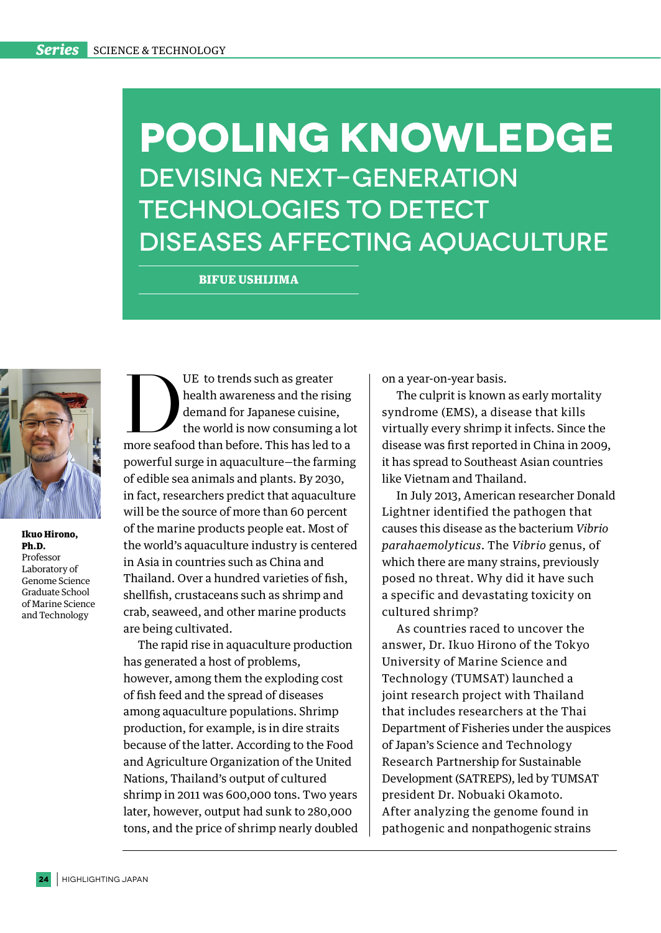## **Pooling Knowledge** Devising next-generation technologies to detect diseases affecting aquaculture

BIFUE USHIJIMA



Ikuo Hirono, Ph.D. Professor Laboratory of Genome Science Graduate School of Marine Science and Technology

UE to trends such as greater<br>
health awareness and the rising<br>
demand for Japanese cuisine,<br>
the world is now consuming a lo<br>
more seafood than before. This has led to a health awareness and the rising demand for Japanese cuisine, the world is now consuming a lot powerful surge in aquaculture—the farming of edible sea animals and plants. By 2030, in fact, researchers predict that aquaculture will be the source of more than 60 percent of the marine products people eat. Most of the world's aquaculture industry is centered in Asia in countries such as China and Thailand. Over a hundred varieties of fish, shellfish, crustaceans such as shrimp and crab, seaweed, and other marine products are being cultivated.

The rapid rise in aquaculture production has generated a host of problems, however, among them the exploding cost of fish feed and the spread of diseases among aquaculture populations. Shrimp production, for example, is in dire straits because of the latter. According to the Food and Agriculture Organization of the United Nations, Thailand's output of cultured shrimp in 2011 was 600,000 tons. Two years later, however, output had sunk to 280,000 tons, and the price of shrimp nearly doubled on a year-on-year basis.

The culprit is known as early mortality syndrome (EMS), a disease that kills virtually every shrimp it infects. Since the disease was first reported in China in 2009, it has spread to Southeast Asian countries like Vietnam and Thailand.

In July 2013, American researcher Donald Lightner identified the pathogen that causes this disease as the bacterium *Vibrio parahaemolyticus*. The *Vibrio* genus, of which there are many strains, previously posed no threat. Why did it have such a specific and devastating toxicity on cultured shrimp?

As countries raced to uncover the answer, Dr. Ikuo Hirono of the Tokyo University of Marine Science and Technology (TUMSAT) launched a joint research project with Thailand that includes researchers at the Thai Department of Fisheries under the auspices of Japan's Science and Technology Research Partnership for Sustainable Development (SATREPS), led by TUMSAT president Dr. Nobuaki Okamoto. After analyzing the genome found in pathogenic and nonpathogenic strains